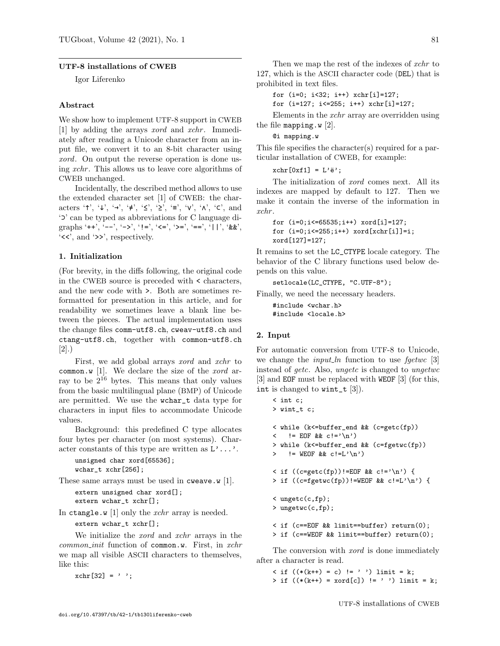# UTF-8 installations of CWEB

Igor Liferenko

# Abstract

We show how to implement UTF-8 support in CWEB [1] by adding the arrays *xord* and *xchr*. Immediately after reading a Unicode character from an input file, we convert it to an 8-bit character using xord. On output the reverse operation is done using xchr . This allows us to leave core algorithms of CWEB unchanged.

Incidentally, the described method allows to use the extended character set [1] of CWEB: the characters '↑', ' $\downarrow$ ', ' $\rightarrow'$ , ' $\neq'$ , ' $\leq'$ , ' $\geq'$ , ' $\equiv'$ , ' $\vee'$ , ' $\wedge'$ , ' $\subset'$ , and '⊃' can be typed as abbreviations for C language digraphs '++', '--', '->', '!=', '<=', '>=', '==', '||', '&&',  $\langle \langle \cdot \rangle$ , and  $\langle \rangle$ , respectively.

### 1. Initialization

(For brevity, in the diffs following, the original code in the CWEB source is preceded with < characters, and the new code with >. Both are sometimes reformatted for presentation in this article, and for readability we sometimes leave a blank line between the pieces. The actual implementation uses the change files comm-utf8.ch, cweav-utf8.ch and ctang-utf8.ch, together with common-utf8.ch [2].)

First, we add global arrays xord and xchr to common.w [1]. We declare the size of the *xord* array to be  $2^{16}$  bytes. This means that only values from the basic multilingual plane (BMP) of Unicode are permitted. We use the wchar\_t data type for characters in input files to accommodate Unicode values.

Background: this predefined C type allocates four bytes per character (on most systems). Character constants of this type are written as  $L' \dots'$ .

```
unsigned char xord[65536];
wchar_t xchr[256];
```
These same arrays must be used in cweave.w [1].

```
extern unsigned char xord[];
extern wchar_t xchr[];
```
In ctangle.w  $[1]$  only the *xchr* array is needed.

extern wchar\_t xchr[];

We initialize the xord and xchr arrays in the  $common\_init$  function of common.w. First, in  $xchr$ we map all visible ASCII characters to themselves, like this:

 $xchr[32] = '$  ;

Then we map the rest of the indexes of *xchr* to 127, which is the ASCII character code (DEL) that is prohibited in text files.

for (i=0; i<32; i++) xchr[i]=127; for (i=127; i<=255; i++) xchr[i]=127;

Elements in the xchr array are overridden using the file mapping.w  $[2]$ .

@i mapping.w

This file specifies the character(s) required for a particular installation of CWEB, for example:

 $xchr[0xf1] = L'ë';$ 

The initialization of xord comes next. All its indexes are mapped by default to 127. Then we make it contain the inverse of the information in xchr .

```
for (i=0:i<65535:i++) xord[i]=127:
for (i=0;i<=255;i++) xord[xchr[i]]=i;
xord[127]=127;
```
It remains to set the LC\_CTYPE locale category. The behavior of the C library functions used below depends on this value.

```
setlocale(LC_CTYPE, "C.UTF-8");
```
Finally, we need the necessary headers.

#include <wchar.h> #include <locale.h>

# 2. Input

For automatic conversion from UTF-8 to Unicode, we change the *input ln* function to use  $fgetwc$  [3] instead of getc. Also, ungetc is changed to ungetwc [3] and EOF must be replaced with WEOF [3] (for this, int is changed to wint\_t [3]).

```
< int c;
> wint_t c;
< while (k<=buffer_end && (c=getc(fp))
\langle != EOF && c!='\n')
> while (k<=buffer_end && (c=fgetwc(fp))
> != WEOF && c!=L'\n')
< if ((c=getc(fp))!=E0F && c!='\n') {
> if ((c = fgetwc(fp)) != WEGF & c != L'\n') {< ungetc(c,fp);
> ungetwc(c,fp);
< if (c==EOF && limit==buffer) return(0);
> if (c==WEOF && limit==buffer) return(0);
```
The conversion with *xord* is done immediately after a character is read.

 $\langle$  if  $((*(k++) = c) != '')$  limit = k;  $> if ((*(k++) = xord[c]) != ' ' ) limit = k;$